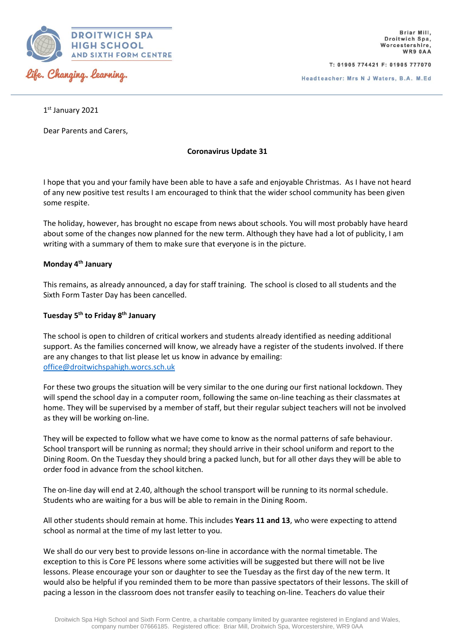

T: 01905 774421 F: 01905 777070

Headteacher: Mrs N J Waters, B.A. M.Ed

1 st January 2021

Dear Parents and Carers,

**Coronavirus Update 31**

I hope that you and your family have been able to have a safe and enjoyable Christmas. As I have not heard of any new positive test results I am encouraged to think that the wider school community has been given some respite.

The holiday, however, has brought no escape from news about schools. You will most probably have heard about some of the changes now planned for the new term. Although they have had a lot of publicity, I am writing with a summary of them to make sure that everyone is in the picture.

### **Monday 4th January**

This remains, as already announced, a day for staff training. The school is closed to all students and the Sixth Form Taster Day has been cancelled.

# **Tuesday 5th to Friday 8th January**

The school is open to children of critical workers and students already identified as needing additional support. As the families concerned will know, we already have a register of the students involved. If there are any changes to that list please let us know in advance by emailing: [office@droitwichspahigh.worcs.sch.uk](mailto:office@droitwichspahigh.worcs.sch.uk)

For these two groups the situation will be very similar to the one during our first national lockdown. They will spend the school day in a computer room, following the same on-line teaching as their classmates at home. They will be supervised by a member of staff, but their regular subject teachers will not be involved as they will be working on-line.

They will be expected to follow what we have come to know as the normal patterns of safe behaviour. School transport will be running as normal; they should arrive in their school uniform and report to the Dining Room. On the Tuesday they should bring a packed lunch, but for all other days they will be able to order food in advance from the school kitchen.

The on-line day will end at 2.40, although the school transport will be running to its normal schedule. Students who are waiting for a bus will be able to remain in the Dining Room.

All other students should remain at home. This includes **Years 11 and 13**, who were expecting to attend school as normal at the time of my last letter to you.

We shall do our very best to provide lessons on-line in accordance with the normal timetable. The exception to this is Core PE lessons where some activities will be suggested but there will not be live lessons. Please encourage your son or daughter to see the Tuesday as the first day of the new term. It would also be helpful if you reminded them to be more than passive spectators of their lessons. The skill of pacing a lesson in the classroom does not transfer easily to teaching on-line. Teachers do value their